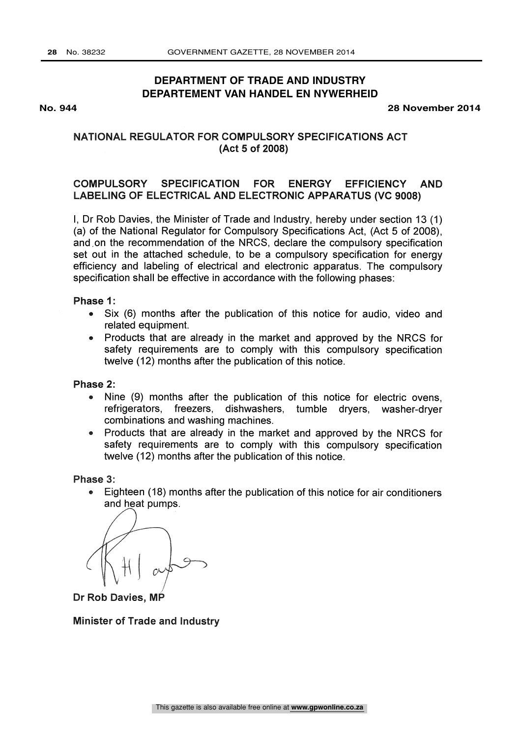# **DEPARTMENT OF TRADE AND INDUSTRY DEPARTEMENT VAN HANDEL EN NYWERHEID**

**No. 944 28 November 2014**

# NATIONAL REGULATOR FOR COMPULSORY SPECIFICATIONS ACT (Act 5 of 2008)

# COMPULSORY SPECIFICATION FOR ENERGY EFFICIENCY AND LABELING OF ELECTRICAL AND ELECTRONIC APPARATUS (VC 9008)

I, Dr Rob Davies, the Minister of Trade and Industry, hereby under section 13 (1) (a) of the National Regulator for Compulsory Specifications Act, (Act 5 of 2008), and ,on the recommendation of the NRCS, declare the compulsory specification set out in the attached schedule, to be a compulsory specification for energy efficiency and labeling of electrical and electronic apparatus. The compulsory specification shall be effective in accordance with the following phases:

#### Phase 1:

- Six (6) months after the publication of this notice for audio, video and  $\bullet$ related equipment.
- Products that are already in the market and approved by the NRCS for safety requirements are to comply with this compulsory specification twelve (12) months after the publication of this notice.

#### Phase 2:

- Nine (9) months after the publication of this notice for electric ovens,  $\bullet$ refrigerators, freezers, dishwashers, tumble dryers, washer-dryer combinations and washing machines.
- Products that are already in the market and approved by the NRCS for  $\bullet$ safety requirements are to comply with this compulsory specification twelve (12) months after the publication of this notice.

Phase 3:

Eighteen (18) months after the publication of this notice for air conditioners and heat pumps.

Dr Rob Davies, MP

Minister of Trade and Industry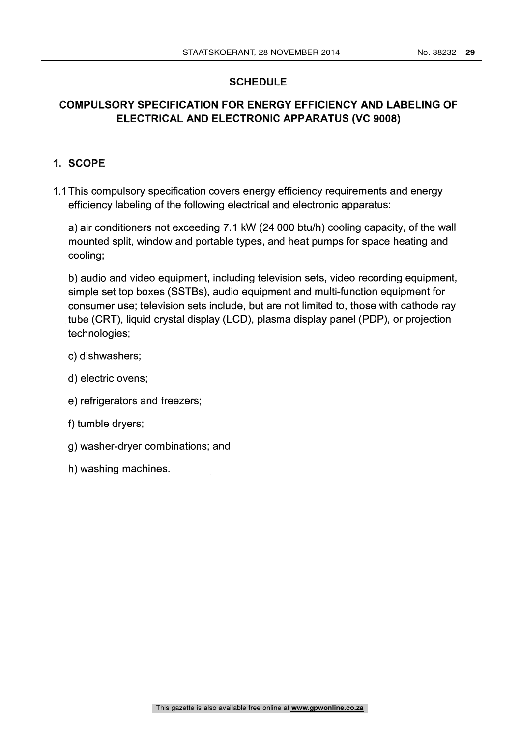# **SCHEDULE**

# COMPULSORY SPECIFICATION FOR ENERGY EFFICIENCY AND LABELING OF ELECTRICAL AND ELECTRONIC APPARATUS (VC 9008)

# 1. SCOPE

1.1 This compulsory specification covers energy efficiency requirements and energy efficiency labeling of the following electrical and electronic apparatus:

a) air conditioners not exceeding 7.1 kW (24 000 btu/h) cooling capacity, of the wall mounted split, window and portable types, and heat pumps for space heating and cooling;

b) audio and video equipment, including television sets, video recording equipment, simple set top boxes (SSTBs), audio equipment and multi-function equipment for consumer use; television sets include, but are not limited to, those with cathode ray tube (CRT), liquid crystal display (LCD), plasma display panel (PDP), or projection technologies;

- c) dishwashers;
- d) electric ovens;
- e) refrigerators and freezers;
- f) tumble dryers;
- g) washer-dryer combinations; and
- h) washing machines.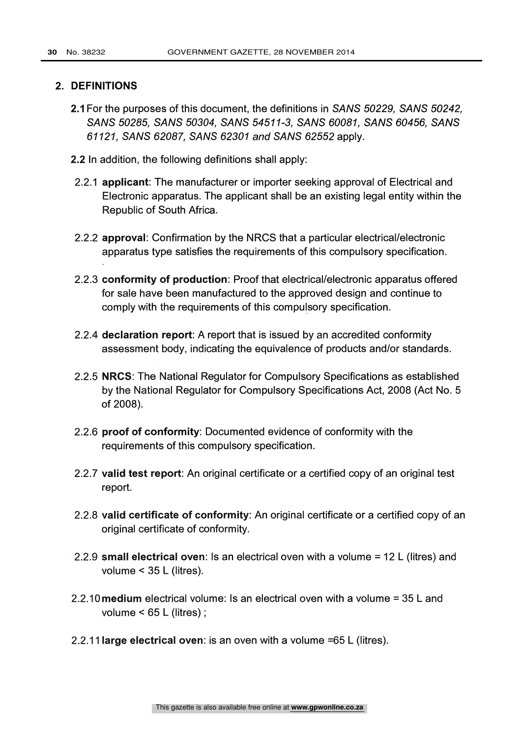#### 2. DEFINITIONS

- 2.1 For the purposes of this document, the definitions in SANS 50229, SANS 50242, SANS 50285, SANS 50304, SANS 54511-3, SANS 60081, SANS 60456, SANS 61121, SANS 62087, SANS 62301 and SANS 62552 apply.
- 2.2 In addition, the following definitions shall apply:
- 2.2.1 applicant: The manufacturer or importer seeking approval of Electrical and Electronic apparatus. The applicant shall be an existing legal entity within the Republic of South Africa.
- 2.2.2 approval: Confirmation by the NRCS that a particular electrical/electronic apparatus type satisfies the requirements of this compulsory specification.
- 2.2.3 conformity of production: Proof that electrical/electronic apparatus offered for sale have been manufactured to the approved design and continue to comply with the requirements of this compulsory specification.
- 2.2.4 declaration report: A report that is issued by an accredited conformity assessment body, indicating the equivalence of products and/or standards.
- 2.2.5 NRCS: The National Regulator for Compulsory Specifications as established by the National Regulator for Compulsory Specifications Act, 2008 (Act No. 5 of 2008).
- 2.2.6 proof of conformity: Documented evidence of conformity with the requirements of this compulsory specification.
- 2.2.7 valid test report: An original certificate or a certified copy of an original test report.
- 2.2.8 valid certificate of conformity: An original certificate or a certified copy of an original certificate of conformity.
- 2.2.9 small electrical oven: Is an electrical oven with a volume = 12 L (litres) and volume < 35 L (litres).
- 2.2.10 medium electrical volume: Is an electrical oven with a volume = 35 L and volume < 65 L (litres) ;
- 2.2.11 large electrical oven: is an oven with a volume =65 L (litres).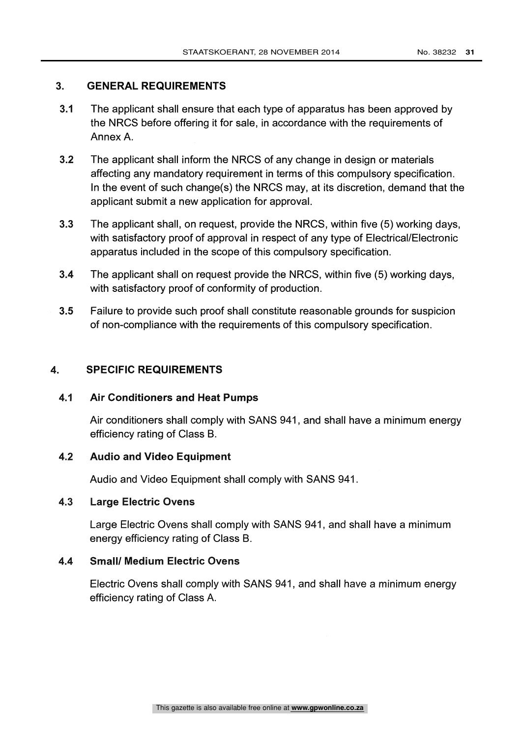# 3. GENERAL REQUIREMENTS

- 3.1 The applicant shall ensure that each type of apparatus has been approved by the NRCS before offering it for sale, in accordance with the requirements of Annex A.
- 3.2 The applicant shall inform the NRCS of any change in design or materials affecting any mandatory requirement in terms of this compulsory specification. In the event of such change(s) the NRCS may, at its discretion, demand that the applicant submit a new application for approval.
- 3.3 The applicant shall, on request, provide the NRCS, within five (5) working days, with satisfactory proof of approval in respect of any type of Electrical/Electronic apparatus included in the scope of this compulsory specification.
- 3.4 The applicant shall on request provide the NRCS, within five (5) working days, with satisfactory proof of conformity of production.
- 3.5 Failure to provide such proof shall constitute reasonable grounds for suspicion of non-compliance with the requirements of this compulsory specification.

# 4. SPECIFIC REQUIREMENTS

# 4.1 Air Conditioners and Heat Pumps

Air conditioners shall comply with SANS 941, and shall have a minimum energy efficiency rating of Class B.

## 4.2 Audio and Video Equipment

Audio and Video Equipment shall comply with SANS 941.

## 4.3 Large Electric Ovens

Large Electric Ovens shall comply with SANS 941, and shall have a minimum energy efficiency rating of Class B.

#### 4.4 Small/ Medium Electric Ovens

Electric Ovens shall comply with SANS 941, and shall have a minimum energy efficiency rating of Class A.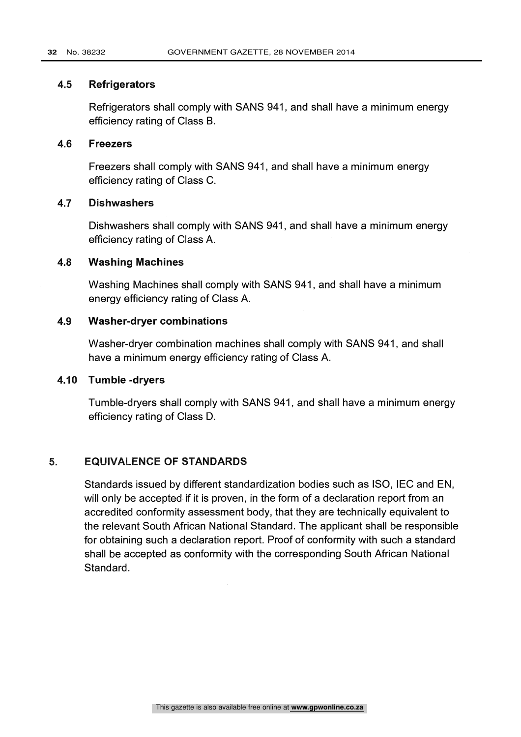#### 4.5 Refrigerators

Refrigerators shall comply with SANS 941, and shall have a minimum energy efficiency rating of Class B.

#### 4.6 Freezers

Freezers shall comply with SANS 941, and shall have a minimum energy efficiency rating of Class C.

# 4.7 Dishwashers

Dishwashers shall comply with SANS 941, and shall have a minimum energy efficiency rating of Class A.

#### 4.8 Washing Machines

Washing Machines shall comply with SANS 941, and shall have a minimum energy efficiency rating of Class A.

# 4.9 Washer-dryer combinations

Washer-dryer combination machines shall comply with SANS 941, and shall have a minimum energy efficiency rating of Class A.

# 4.10 Tumble -dryers

Tumble-dryers shall comply with SANS 941, and shall have a minimum energy efficiency rating of Class D.

#### 5. EQUIVALENCE OF STANDARDS

Standards issued by different standardization bodies such as ISO, IEC and EN, will only be accepted if it is proven, in the form of a declaration report from an accredited conformity assessment body, that they are technically equivalent to the relevant South African National Standard. The applicant shall be responsible for obtaining such a declaration report. Proof of conformity with such a standard shall be accepted as conformity with the corresponding South African National Standard.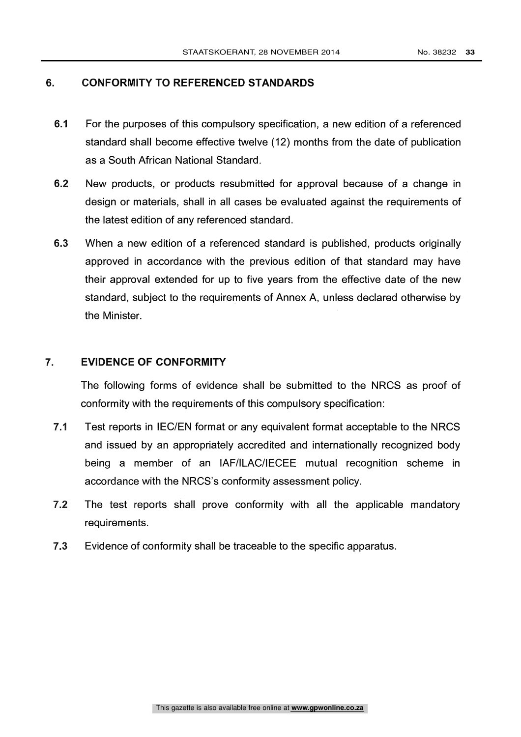# 6. CONFORMITY TO REFERENCED STANDARDS

- 6.1 For the purposes of this compulsory specification, a new edition of a referenced standard shall become effective twelve (12) months from the date of publication as a South African National Standard.
- 6.2 New products, or products resubmitted for approval because of a change in design or materials, shall in all cases be evaluated against the requirements of the latest edition of any referenced standard.
- 6.3 When a new edition of a referenced standard is published, products originally approved in accordance with the previous edition of that standard may have their approval extended for up to five years from the effective date of the new standard, subject to the requirements of Annex A, unless declared otherwise by the Minister.

## 7. EVIDENCE OF CONFORMITY

The following forms of evidence shall be submitted to the NRCS as proof of conformity with the requirements of this compulsory specification:

- 7.1 Test reports in IEC/EN format or any equivalent format acceptable to the NRCS and issued by an appropriately accredited and internationally recognized body being a member of an IAF/ILAC/IECEE mutual recognition scheme in accordance with the NRCS's conformity assessment policy.
- 7.2 The test reports shall prove conformity with all the applicable mandatory requirements.
- 7.3 Evidence of conformity shall be traceable to the specific apparatus.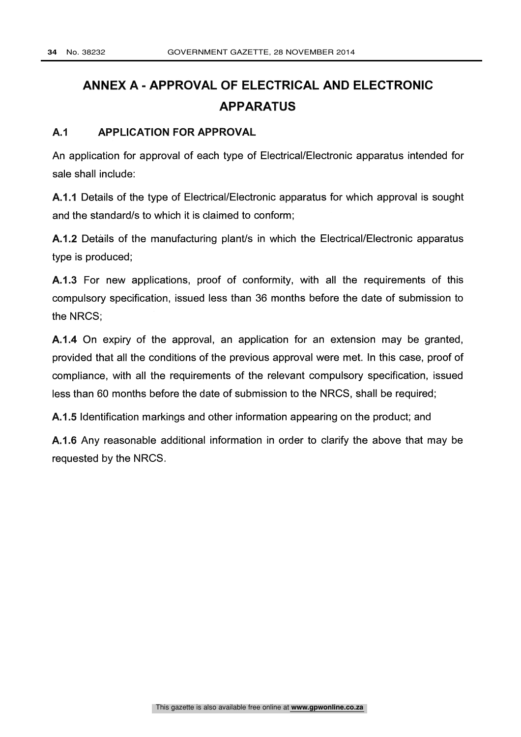# ANNEX A - APPROVAL OF ELECTRICAL AND ELECTRONIC APPARATUS

# A.1 APPLICATION FOR APPROVAL

An application for approval of each type of Electrical/Electronic apparatus intended for sale shall include:

A.1.1 Details of the type of Electrical/Electronic apparatus for which approval is sought and the standard/s to which it is claimed to conform;

A.1.2 Details of the manufacturing plant/s in which the Electrical/Electronic apparatus type is produced;

A.1.3 For new applications, proof of conformity, with all the requirements of this compulsory specification, issued less than 36 months before the date of submission to the NRCS;

A.1.4 On expiry of the approval, an application for an extension may be granted, provided that all the conditions of the previous approval were met. In this case, proof of compliance, with all the requirements of the relevant compulsory specification, issued less than 60 months before the date of submission to the NRCS, shall be required;

A.1.5 Identification markings and other information appearing on the product; and

A.1.6 Any reasonable additional information in order to clarify the above that may be requested by the NRCS.